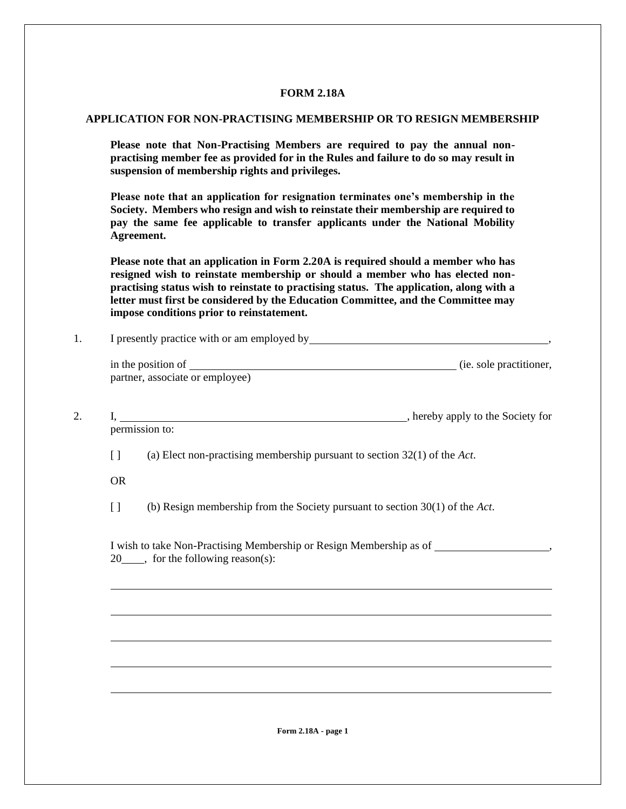## **FORM 2.18A**

## **APPLICATION FOR NON-PRACTISING MEMBERSHIP OR TO RESIGN MEMBERSHIP**

**Please note that Non-Practising Members are required to pay the annual nonpractising member fee as provided for in the Rules and failure to do so may result in suspension of membership rights and privileges.**

**Please note that an application for resignation terminates one's membership in the Society. Members who resign and wish to reinstate their membership are required to pay the same fee applicable to transfer applicants under the National Mobility Agreement.** 

**Please note that an application in Form 2.20A is required should a member who has resigned wish to reinstate membership or should a member who has elected nonpractising status wish to reinstate to practising status. The application, along with a letter must first be considered by the Education Committee, and the Committee may impose conditions prior to reinstatement.**

|                    | I, hereby apply to the Society for<br>permission to:                                                                    |
|--------------------|-------------------------------------------------------------------------------------------------------------------------|
| $\left[ \ \right]$ | (a) Elect non-practising membership pursuant to section $32(1)$ of the Act.                                             |
| <b>OR</b>          |                                                                                                                         |
| $\left[ \ \right]$ | (b) Resign membership from the Society pursuant to section $30(1)$ of the Act.                                          |
|                    | I wish to take Non-Practising Membership or Resign Membership as of ____________<br>$20$ , for the following reason(s): |
|                    |                                                                                                                         |
|                    |                                                                                                                         |
|                    |                                                                                                                         |

l

l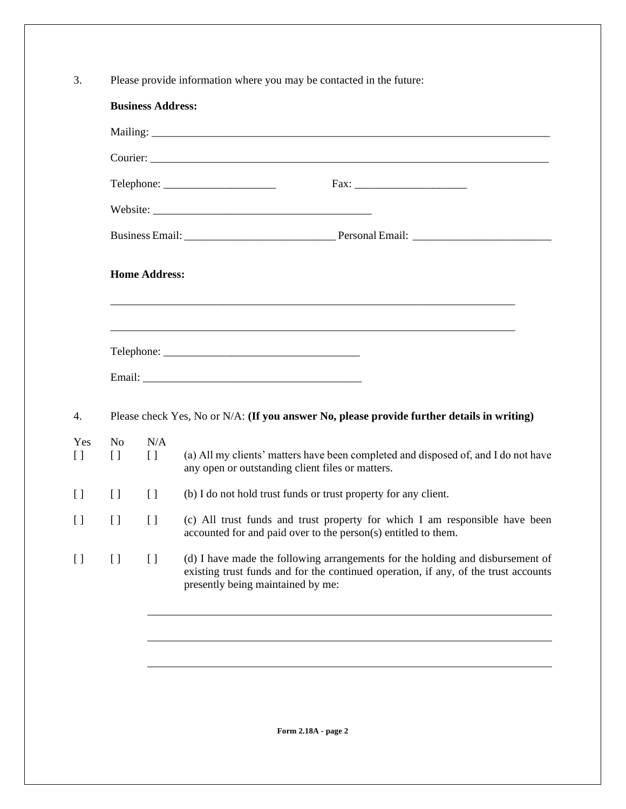3. Please provide information where you may be contacted in the future:

|                                              |                      | Telephone:                                                                                                                                                                                                                          |
|----------------------------------------------|----------------------|-------------------------------------------------------------------------------------------------------------------------------------------------------------------------------------------------------------------------------------|
|                                              |                      |                                                                                                                                                                                                                                     |
|                                              |                      |                                                                                                                                                                                                                                     |
|                                              | <b>Home Address:</b> |                                                                                                                                                                                                                                     |
|                                              |                      |                                                                                                                                                                                                                                     |
|                                              |                      |                                                                                                                                                                                                                                     |
|                                              |                      |                                                                                                                                                                                                                                     |
|                                              |                      | Please check Yes, No or N/A: (If you answer No, please provide further details in writing)                                                                                                                                          |
| No<br>$\begin{array}{c} \square \end{array}$ | N/A<br>$[ \ ]$       | any open or outstanding client files or matters.                                                                                                                                                                                    |
| $[ \ ]$                                      | $[ \ ]$              | (b) I do not hold trust funds or trust property for any client.                                                                                                                                                                     |
| $\left[ \ \right]$                           | $\left[ \ \right]$   | (a) All my clients' matters have been completed and disposed of, and I do not have<br>(c) All trust funds and trust property for which I am responsible have been<br>accounted for and paid over to the person(s) entitled to them. |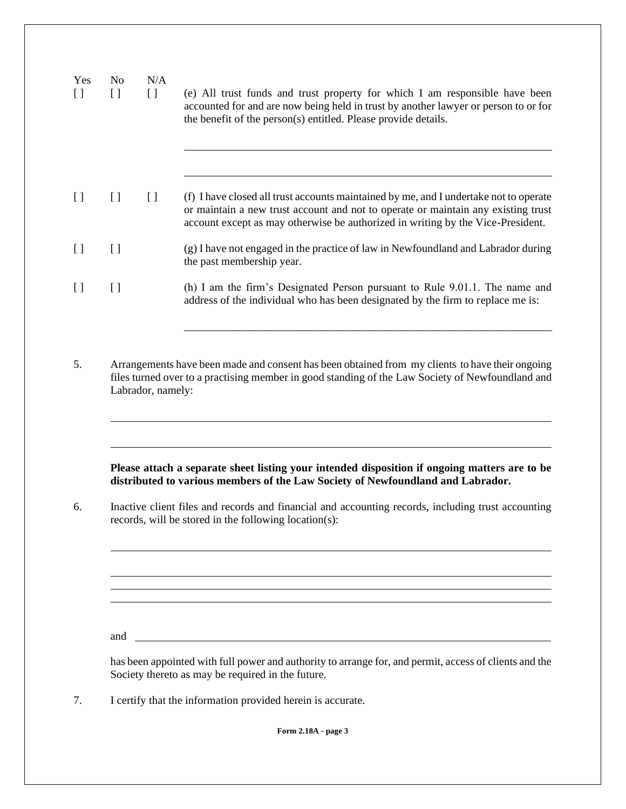| $\left[ \ \right]$ | N <sub>o</sub>    | N/A<br>$[ \ ]$ | (e) All trust funds and trust property for which I am responsible have been<br>accounted for and are now being held in trust by another lawyer or person to or for<br>the benefit of the person(s) entitled. Please provide details.                          |
|--------------------|-------------------|----------------|---------------------------------------------------------------------------------------------------------------------------------------------------------------------------------------------------------------------------------------------------------------|
| $[ \ ]$            |                   | $[ \ ]$        | (f) I have closed all trust accounts maintained by me, and I undertake not to operate<br>or maintain a new trust account and not to operate or maintain any existing trust<br>account except as may otherwise be authorized in writing by the Vice-President. |
| $\left[ \ \right]$ |                   |                | (g) I have not engaged in the practice of law in Newfoundland and Labrador during<br>the past membership year.                                                                                                                                                |
| $\left[ \ \right]$ |                   |                | (h) I am the firm's Designated Person pursuant to Rule 9.01.1. The name and<br>address of the individual who has been designated by the firm to replace me is:                                                                                                |
|                    | Labrador, namely: |                | Arrangements have been made and consent has been obtained from my clients to have their ongoing<br>files turned over to a practising member in good standing of the Law Society of Newfoundland and                                                           |
|                    |                   |                | Please attach a separate sheet listing your intended disposition if ongoing matters are to be<br>distributed to various members of the Law Society of Newfoundland and Labrador.                                                                              |
|                    |                   |                | Inactive client files and records and financial and accounting records, including trust accounting<br>records, will be stored in the following location(s):                                                                                                   |
|                    |                   |                | ,我们也不会有什么。""我们的人,我们也不会有什么?""我们的人,我们也不会有什么?""我们的人,我们也不会有什么?""我们的人,我们也不会有什么?""我们的人                                                                                                                                                                              |

7. I certify that the information provided herein is accurate.